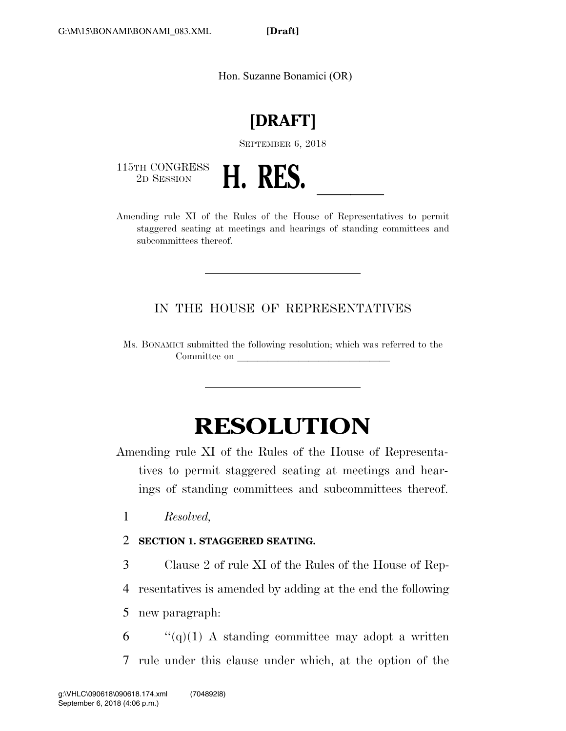**[Draft]** 

Hon. Suzanne Bonamici (OR)

## **[DRAFT]**

SEPTEMBER 6, 2018

115TH CONGRESS<br>2D SESSION



2D SESSION **H. RES.**<br>Amending rule XI of the Rules of the House of Representatives to permit staggered seating at meetings and hearings of standing committees and subcommittees thereof.

IN THE HOUSE OF REPRESENTATIVES

Ms. BONAMICI submitted the following resolution; which was referred to the Committee on

## **RESOLUTION**

Amending rule XI of the Rules of the House of Representatives to permit staggered seating at meetings and hearings of standing committees and subcommittees thereof.

1 *Resolved,* 

2 **SECTION 1. STAGGERED SEATING.** 

3 Clause 2 of rule XI of the Rules of the House of Rep-

4 resentatives is amended by adding at the end the following

5 new paragraph:

 $6$  "(q)(1) A standing committee may adopt a written 7 rule under this clause under which, at the option of the